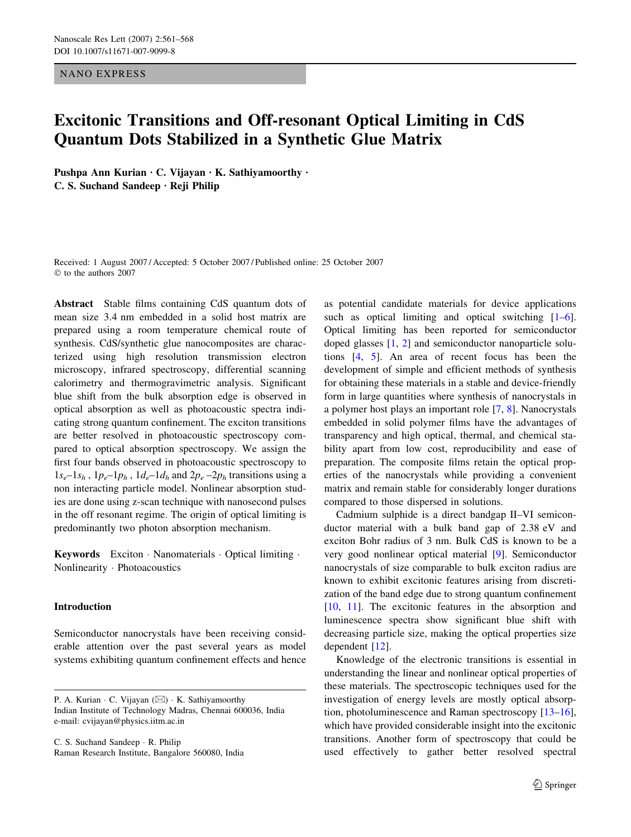NANO EXPRESS

# Excitonic Transitions and Off-resonant Optical Limiting in CdS Quantum Dots Stabilized in a Synthetic Glue Matrix

Pushpa Ann Kurian  $\cdot$  C. Vijayan  $\cdot$  K. Sathiyamoorthy  $\cdot$  $C. S.$  Suchand Sandeep  $\cdot$  Reji Philip

Received: 1 August 2007 / Accepted: 5 October 2007 / Published online: 25 October 2007  $©$  to the authors 2007

Abstract Stable films containing CdS quantum dots of mean size 3.4 nm embedded in a solid host matrix are prepared using a room temperature chemical route of synthesis. CdS/synthetic glue nanocomposites are characterized using high resolution transmission electron microscopy, infrared spectroscopy, differential scanning calorimetry and thermogravimetric analysis. Significant blue shift from the bulk absorption edge is observed in optical absorption as well as photoacoustic spectra indicating strong quantum confinement. The exciton transitions are better resolved in photoacoustic spectroscopy compared to optical absorption spectroscopy. We assign the first four bands observed in photoacoustic spectroscopy to  $1s_e-1s_h$ ,  $1p_e-1p_h$ ,  $1d_e-1d_h$  and  $2p_e-2p_h$  transitions using a non interacting particle model. Nonlinear absorption studies are done using z-scan technique with nanosecond pulses in the off resonant regime. The origin of optical limiting is predominantly two photon absorption mechanism.

Keywords Exciton Nanomaterials Optical limiting . Nonlinearity · Photoacoustics

# Introduction

Semiconductor nanocrystals have been receiving considerable attention over the past several years as model systems exhibiting quantum confinement effects and hence

C. S. Suchand Sandeep · R. Philip Raman Research Institute, Bangalore 560080, India as potential candidate materials for device applications such as optical limiting and optical switching [\[1](#page-6-0)[–6](#page-7-0)]. Optical limiting has been reported for semiconductor doped glasses [[1,](#page-6-0) [2\]](#page-6-0) and semiconductor nanoparticle solutions [[4,](#page-7-0) [5](#page-7-0)]. An area of recent focus has been the development of simple and efficient methods of synthesis for obtaining these materials in a stable and device-friendly form in large quantities where synthesis of nanocrystals in a polymer host plays an important role [\[7](#page-7-0), [8](#page-7-0)]. Nanocrystals embedded in solid polymer films have the advantages of transparency and high optical, thermal, and chemical stability apart from low cost, reproducibility and ease of preparation. The composite films retain the optical properties of the nanocrystals while providing a convenient matrix and remain stable for considerably longer durations compared to those dispersed in solutions.

Cadmium sulphide is a direct bandgap II–VI semiconductor material with a bulk band gap of 2.38 eV and exciton Bohr radius of 3 nm. Bulk CdS is known to be a very good nonlinear optical material [\[9](#page-7-0)]. Semiconductor nanocrystals of size comparable to bulk exciton radius are known to exhibit excitonic features arising from discretization of the band edge due to strong quantum confinement [\[10](#page-7-0), [11\]](#page-7-0). The excitonic features in the absorption and luminescence spectra show significant blue shift with decreasing particle size, making the optical properties size dependent [[12\]](#page-7-0).

Knowledge of the electronic transitions is essential in understanding the linear and nonlinear optical properties of these materials. The spectroscopic techniques used for the investigation of energy levels are mostly optical absorption, photoluminescence and Raman spectroscopy [\[13–16](#page-7-0)], which have provided considerable insight into the excitonic transitions. Another form of spectroscopy that could be used effectively to gather better resolved spectral

P. A. Kurian  $\cdot$  C. Vijayan ( $\boxtimes$ )  $\cdot$  K. Sathiyamoorthy Indian Institute of Technology Madras, Chennai 600036, India e-mail: cvijayan@physics.iitm.ac.in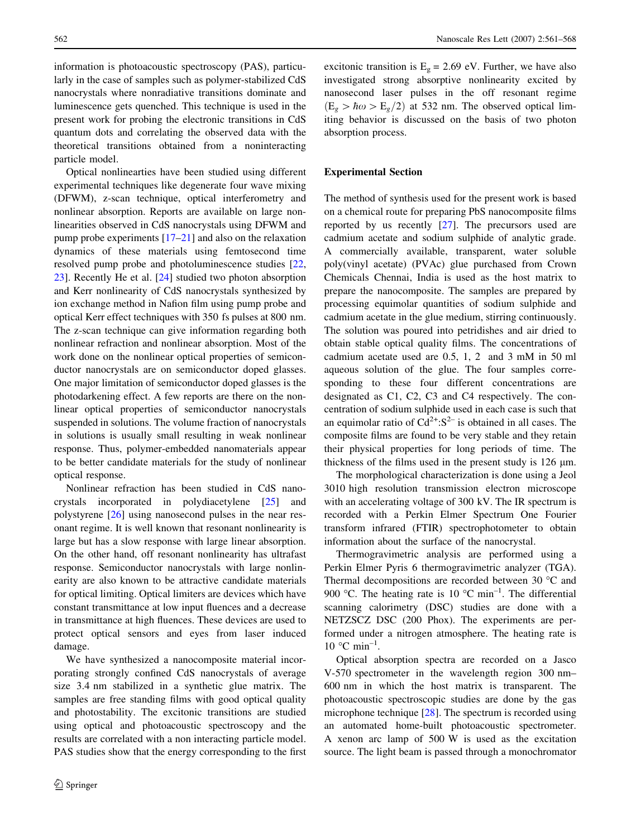information is photoacoustic spectroscopy (PAS), particularly in the case of samples such as polymer-stabilized CdS nanocrystals where nonradiative transitions dominate and luminescence gets quenched. This technique is used in the present work for probing the electronic transitions in CdS quantum dots and correlating the observed data with the theoretical transitions obtained from a noninteracting particle model.

Optical nonlinearties have been studied using different experimental techniques like degenerate four wave mixing (DFWM), z-scan technique, optical interferometry and nonlinear absorption. Reports are available on large nonlinearities observed in CdS nanocrystals using DFWM and pump probe experiments [[17–21\]](#page-7-0) and also on the relaxation dynamics of these materials using femtosecond time resolved pump probe and photoluminescence studies [[22,](#page-7-0) [23](#page-7-0)]. Recently He et al. [[24\]](#page-7-0) studied two photon absorption and Kerr nonlinearity of CdS nanocrystals synthesized by ion exchange method in Nafion film using pump probe and optical Kerr effect techniques with 350 fs pulses at 800 nm. The z-scan technique can give information regarding both nonlinear refraction and nonlinear absorption. Most of the work done on the nonlinear optical properties of semiconductor nanocrystals are on semiconductor doped glasses. One major limitation of semiconductor doped glasses is the photodarkening effect. A few reports are there on the nonlinear optical properties of semiconductor nanocrystals suspended in solutions. The volume fraction of nanocrystals in solutions is usually small resulting in weak nonlinear response. Thus, polymer-embedded nanomaterials appear to be better candidate materials for the study of nonlinear optical response.

Nonlinear refraction has been studied in CdS nanocrystals incorporated in polydiacetylene [\[25](#page-7-0)] and polystyrene [[26\]](#page-7-0) using nanosecond pulses in the near resonant regime. It is well known that resonant nonlinearity is large but has a slow response with large linear absorption. On the other hand, off resonant nonlinearity has ultrafast response. Semiconductor nanocrystals with large nonlinearity are also known to be attractive candidate materials for optical limiting. Optical limiters are devices which have constant transmittance at low input fluences and a decrease in transmittance at high fluences. These devices are used to protect optical sensors and eyes from laser induced damage.

We have synthesized a nanocomposite material incorporating strongly confined CdS nanocrystals of average size 3.4 nm stabilized in a synthetic glue matrix. The samples are free standing films with good optical quality and photostability. The excitonic transitions are studied using optical and photoacoustic spectroscopy and the results are correlated with a non interacting particle model. PAS studies show that the energy corresponding to the first excitonic transition is  $E<sub>g</sub> = 2.69$  eV. Further, we have also investigated strong absorptive nonlinearity excited by nanosecond laser pulses in the off resonant regime  $(E_{\varrho} > \hbar \omega > E_{\varrho}/2)$  at 532 nm. The observed optical limiting behavior is discussed on the basis of two photon absorption process.

#### Experimental Section

The method of synthesis used for the present work is based on a chemical route for preparing PbS nanocomposite films reported by us recently [\[27](#page-7-0)]. The precursors used are cadmium acetate and sodium sulphide of analytic grade. A commercially available, transparent, water soluble poly(vinyl acetate) (PVAc) glue purchased from Crown Chemicals Chennai, India is used as the host matrix to prepare the nanocomposite. The samples are prepared by processing equimolar quantities of sodium sulphide and cadmium acetate in the glue medium, stirring continuously. The solution was poured into petridishes and air dried to obtain stable optical quality films. The concentrations of cadmium acetate used are 0.5, 1, 2 and 3 mM in 50 ml aqueous solution of the glue. The four samples corresponding to these four different concentrations are designated as C1, C2, C3 and C4 respectively. The concentration of sodium sulphide used in each case is such that an equimolar ratio of  $Cd^{2+} : S^{2-}$  is obtained in all cases. The composite films are found to be very stable and they retain their physical properties for long periods of time. The thickness of the films used in the present study is  $126 \mu m$ .

The morphological characterization is done using a Jeol 3010 high resolution transmission electron microscope with an accelerating voltage of 300 kV. The IR spectrum is recorded with a Perkin Elmer Spectrum One Fourier transform infrared (FTIR) spectrophotometer to obtain information about the surface of the nanocrystal.

Thermogravimetric analysis are performed using a Perkin Elmer Pyris 6 thermogravimetric analyzer (TGA). Thermal decompositions are recorded between 30  $^{\circ}$ C and 900 °C. The heating rate is 10 °C min<sup>-1</sup>. The differential scanning calorimetry (DSC) studies are done with a NETZSCZ DSC (200 Phox). The experiments are performed under a nitrogen atmosphere. The heating rate is  $10$  °C min<sup>-1</sup>.

Optical absorption spectra are recorded on a Jasco V-570 spectrometer in the wavelength region 300 nm– 600 nm in which the host matrix is transparent. The photoacoustic spectroscopic studies are done by the gas microphone technique [\[28](#page-7-0)]. The spectrum is recorded using an automated home-built photoacoustic spectrometer. A xenon arc lamp of 500 W is used as the excitation source. The light beam is passed through a monochromator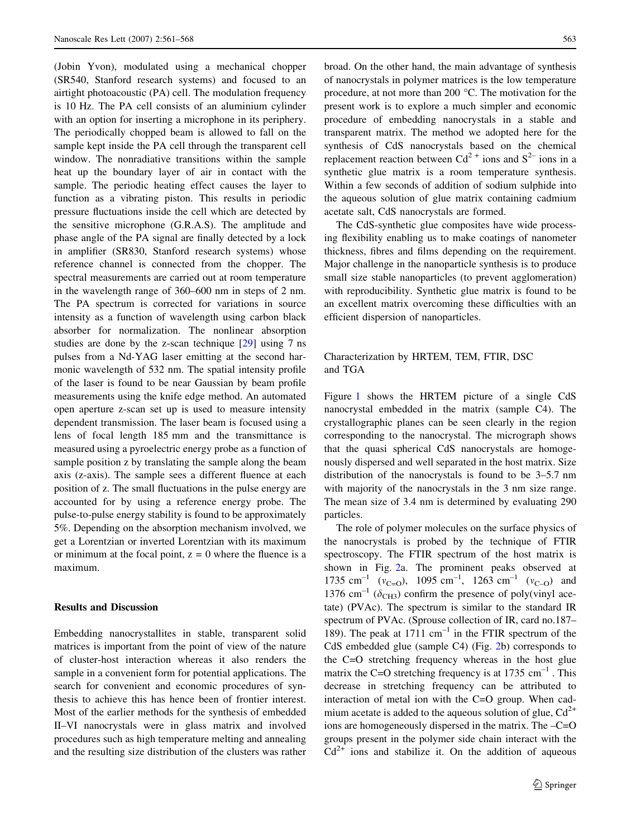(Jobin Yvon), modulated using a mechanical chopper (SR540, Stanford research systems) and focused to an airtight photoacoustic (PA) cell. The modulation frequency is 10 Hz. The PA cell consists of an aluminium cylinder with an option for inserting a microphone in its periphery. The periodically chopped beam is allowed to fall on the sample kept inside the PA cell through the transparent cell window. The nonradiative transitions within the sample heat up the boundary layer of air in contact with the sample. The periodic heating effect causes the layer to function as a vibrating piston. This results in periodic pressure fluctuations inside the cell which are detected by the sensitive microphone (G.R.A.S). The amplitude and phase angle of the PA signal are finally detected by a lock in amplifier (SR830, Stanford research systems) whose reference channel is connected from the chopper. The spectral measurements are carried out at room temperature in the wavelength range of 360–600 nm in steps of 2 nm. The PA spectrum is corrected for variations in source intensity as a function of wavelength using carbon black absorber for normalization. The nonlinear absorption studies are done by the z-scan technique [[29\]](#page-7-0) using 7 ns pulses from a Nd-YAG laser emitting at the second harmonic wavelength of 532 nm. The spatial intensity profile of the laser is found to be near Gaussian by beam profile measurements using the knife edge method. An automated open aperture z-scan set up is used to measure intensity dependent transmission. The laser beam is focused using a lens of focal length 185 mm and the transmittance is measured using a pyroelectric energy probe as a function of sample position z by translating the sample along the beam axis (z-axis). The sample sees a different fluence at each position of z. The small fluctuations in the pulse energy are accounted for by using a reference energy probe. The pulse-to-pulse energy stability is found to be approximately 5%. Depending on the absorption mechanism involved, we get a Lorentzian or inverted Lorentzian with its maximum or minimum at the focal point,  $z = 0$  where the fluence is a maximum.

#### Results and Discussion

Embedding nanocrystallites in stable, transparent solid matrices is important from the point of view of the nature of cluster-host interaction whereas it also renders the sample in a convenient form for potential applications. The search for convenient and economic procedures of synthesis to achieve this has hence been of frontier interest. Most of the earlier methods for the synthesis of embedded II–VI nanocrystals were in glass matrix and involved procedures such as high temperature melting and annealing and the resulting size distribution of the clusters was rather broad. On the other hand, the main advantage of synthesis of nanocrystals in polymer matrices is the low temperature procedure, at not more than 200  $^{\circ}$ C. The motivation for the present work is to explore a much simpler and economic procedure of embedding nanocrystals in a stable and transparent matrix. The method we adopted here for the synthesis of CdS nanocrystals based on the chemical replacement reaction between  $Cd^{2+}$  ions and  $S^{2-}$  ions in a synthetic glue matrix is a room temperature synthesis. Within a few seconds of addition of sodium sulphide into the aqueous solution of glue matrix containing cadmium acetate salt, CdS nanocrystals are formed.

The CdS-synthetic glue composites have wide processing flexibility enabling us to make coatings of nanometer thickness, fibres and films depending on the requirement. Major challenge in the nanoparticle synthesis is to produce small size stable nanoparticles (to prevent agglomeration) with reproducibility. Synthetic glue matrix is found to be an excellent matrix overcoming these difficulties with an efficient dispersion of nanoparticles.

### Characterization by HRTEM, TEM, FTIR, DSC and TGA

Figure [1](#page-3-0) shows the HRTEM picture of a single CdS nanocrystal embedded in the matrix (sample C4). The crystallographic planes can be seen clearly in the region corresponding to the nanocrystal. The micrograph shows that the quasi spherical CdS nanocrystals are homogenously dispersed and well separated in the host matrix. Size distribution of the nanocrystals is found to be 3–5.7 nm with majority of the nanocrystals in the 3 nm size range. The mean size of 3.4 nm is determined by evaluating 290 particles.

The role of polymer molecules on the surface physics of the nanocrystals is probed by the technique of FTIR spectroscopy. The FTIR spectrum of the host matrix is shown in Fig. [2](#page-3-0)a. The prominent peaks observed at 1735 cm<sup>-1</sup> ( $v_{\text{C=O}}$ ), 1095 cm<sup>-1</sup>, 1263 cm<sup>-1</sup> ( $v_{\text{C-O}}$ ) and 1376 cm<sup>-1</sup> ( $\delta$ <sub>CH3</sub>) confirm the presence of poly(vinyl acetate) (PVAc). The spectrum is similar to the standard IR spectrum of PVAc. (Sprouse collection of IR, card no.187– 189). The peak at 1711  $cm^{-1}$  in the FTIR spectrum of the CdS embedded glue (sample C4) (Fig. [2](#page-3-0)b) corresponds to the C=O stretching frequency whereas in the host glue matrix the C=O stretching frequency is at  $1735 \text{ cm}^{-1}$ . This decrease in stretching frequency can be attributed to interaction of metal ion with the C=O group. When cadmium acetate is added to the aqueous solution of glue,  $Cd^{2+}$ ions are homogeneously dispersed in the matrix. The –C=O groups present in the polymer side chain interact with the  $Cd<sup>2+</sup>$  ions and stabilize it. On the addition of aqueous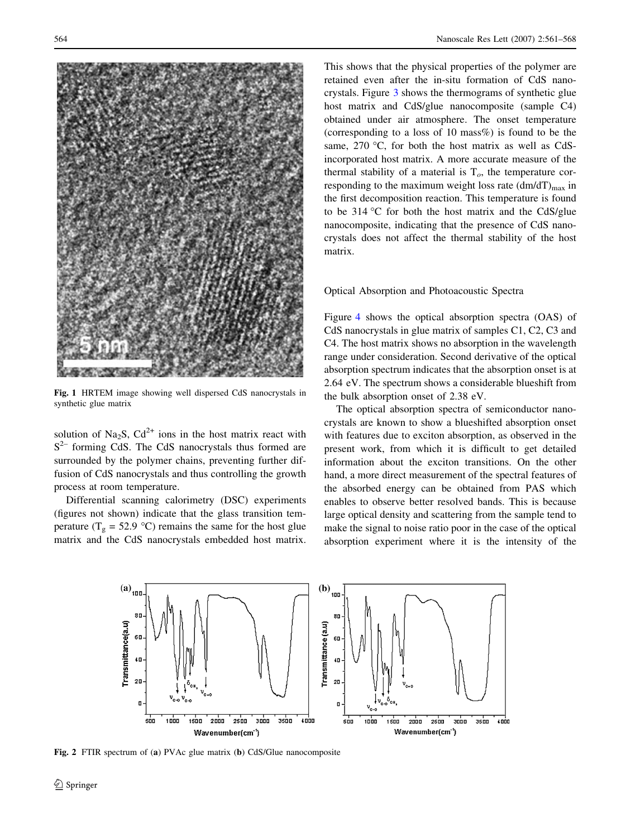<span id="page-3-0"></span>

Fig. 1 HRTEM image showing well dispersed CdS nanocrystals in synthetic glue matrix

solution of Na<sub>2</sub>S,  $Cd^{2+}$  ions in the host matrix react with  $S<sup>2–</sup>$  forming CdS. The CdS nanocrystals thus formed are surrounded by the polymer chains, preventing further diffusion of CdS nanocrystals and thus controlling the growth process at room temperature.

Differential scanning calorimetry (DSC) experiments (figures not shown) indicate that the glass transition temperature ( $T_g = 52.9$  °C) remains the same for the host glue matrix and the CdS nanocrystals embedded host matrix.

This shows that the physical properties of the polymer are retained even after the in-situ formation of CdS nanocrystals. Figure [3](#page-4-0) shows the thermograms of synthetic glue host matrix and CdS/glue nanocomposite (sample C4) obtained under air atmosphere. The onset temperature (corresponding to a loss of 10 mass%) is found to be the same,  $270$  °C, for both the host matrix as well as CdSincorporated host matrix. A more accurate measure of the thermal stability of a material is  $T<sub>o</sub>$ , the temperature corresponding to the maximum weight loss rate  $(dm/dT)_{max}$  in the first decomposition reaction. This temperature is found to be  $314\text{ °C}$  for both the host matrix and the CdS/glue nanocomposite, indicating that the presence of CdS nanocrystals does not affect the thermal stability of the host matrix.

# Optical Absorption and Photoacoustic Spectra

Figure [4](#page-4-0) shows the optical absorption spectra (OAS) of CdS nanocrystals in glue matrix of samples C1, C2, C3 and C4. The host matrix shows no absorption in the wavelength range under consideration. Second derivative of the optical absorption spectrum indicates that the absorption onset is at 2.64 eV. The spectrum shows a considerable blueshift from the bulk absorption onset of 2.38 eV.

The optical absorption spectra of semiconductor nanocrystals are known to show a blueshifted absorption onset with features due to exciton absorption, as observed in the present work, from which it is difficult to get detailed information about the exciton transitions. On the other hand, a more direct measurement of the spectral features of the absorbed energy can be obtained from PAS which enables to observe better resolved bands. This is because large optical density and scattering from the sample tend to make the signal to noise ratio poor in the case of the optical absorption experiment where it is the intensity of the



Fig. 2 FTIR spectrum of (a) PVAc glue matrix (b) CdS/Glue nanocomposite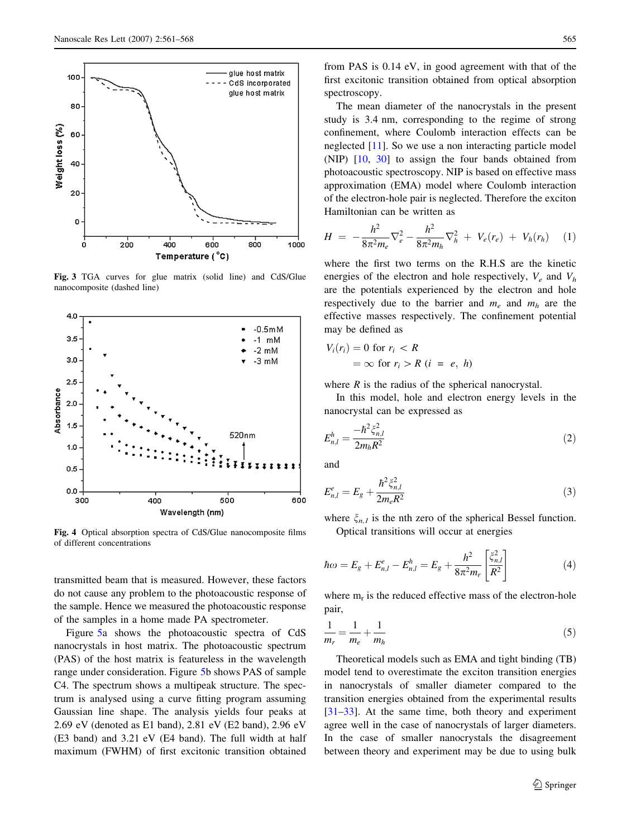<span id="page-4-0"></span>

Fig. 3 TGA curves for glue matrix (solid line) and CdS/Glue nanocomposite (dashed line)



Fig. 4 Optical absorption spectra of CdS/Glue nanocomposite films of different concentrations

transmitted beam that is measured. However, these factors do not cause any problem to the photoacoustic response of the sample. Hence we measured the photoacoustic response of the samples in a home made PA spectrometer.

Figure [5a](#page-5-0) shows the photoacoustic spectra of CdS nanocrystals in host matrix. The photoacoustic spectrum (PAS) of the host matrix is featureless in the wavelength range under consideration. Figure [5](#page-5-0)b shows PAS of sample C4. The spectrum shows a multipeak structure. The spectrum is analysed using a curve fitting program assuming Gaussian line shape. The analysis yields four peaks at 2.69 eV (denoted as E1 band), 2.81 eV (E2 band), 2.96 eV (E3 band) and 3.21 eV (E4 band). The full width at half maximum (FWHM) of first excitonic transition obtained

from PAS is 0.14 eV, in good agreement with that of the first excitonic transition obtained from optical absorption spectroscopy.

The mean diameter of the nanocrystals in the present study is 3.4 nm, corresponding to the regime of strong confinement, where Coulomb interaction effects can be neglected [[11\]](#page-7-0). So we use a non interacting particle model (NIP) [\[10](#page-7-0), [30](#page-7-0)] to assign the four bands obtained from photoacoustic spectroscopy. NIP is based on effective mass approximation (EMA) model where Coulomb interaction of the electron-hole pair is neglected. Therefore the exciton Hamiltonian can be written as

$$
H = -\frac{h^2}{8\pi^2 m_e} \nabla_e^2 - \frac{h^2}{8\pi^2 m_h} \nabla_h^2 + V_e(r_e) + V_h(r_h) \quad (1)
$$

where the first two terms on the R.H.S are the kinetic energies of the electron and hole respectively,  $V_e$  and  $V_h$ are the potentials experienced by the electron and hole respectively due to the barrier and  $m_e$  and  $m_h$  are the effective masses respectively. The confinement potential may be defined as

$$
V_i(r_i) = 0 \text{ for } r_i < R
$$
\n
$$
= \infty \text{ for } r_i > R \ (i = e, \ h)
$$

where  $R$  is the radius of the spherical nanocrystal.

In this model, hole and electron energy levels in the nanocrystal can be expressed as

$$
E_{n,l}^{h} = \frac{-\hbar^2 \xi_{n,l}^2}{2m_h R^2}
$$
 (2)

and

$$
E_{n,l}^e = E_g + \frac{\hbar^2 \xi_{n,l}^2}{2m_e R^2}
$$
 (3)

where  $\xi_{n,l}$  is the nth zero of the spherical Bessel function. Optical transitions will occur at energies

$$
\hbar\omega = E_g + E_{n,l}^e - E_{n,l}^h = E_g + \frac{h^2}{8\pi^2 m_r} \left[ \frac{\xi_{n,l}^2}{R^2} \right]
$$
(4)

where  $m_r$  is the reduced effective mass of the electron-hole pair,

$$
\frac{1}{m_r} = \frac{1}{m_e} + \frac{1}{m_h} \tag{5}
$$

Theoretical models such as EMA and tight binding (TB) model tend to overestimate the exciton transition energies in nanocrystals of smaller diameter compared to the transition energies obtained from the experimental results [\[31–33](#page-7-0)]. At the same time, both theory and experiment agree well in the case of nanocrystals of larger diameters. In the case of smaller nanocrystals the disagreement between theory and experiment may be due to using bulk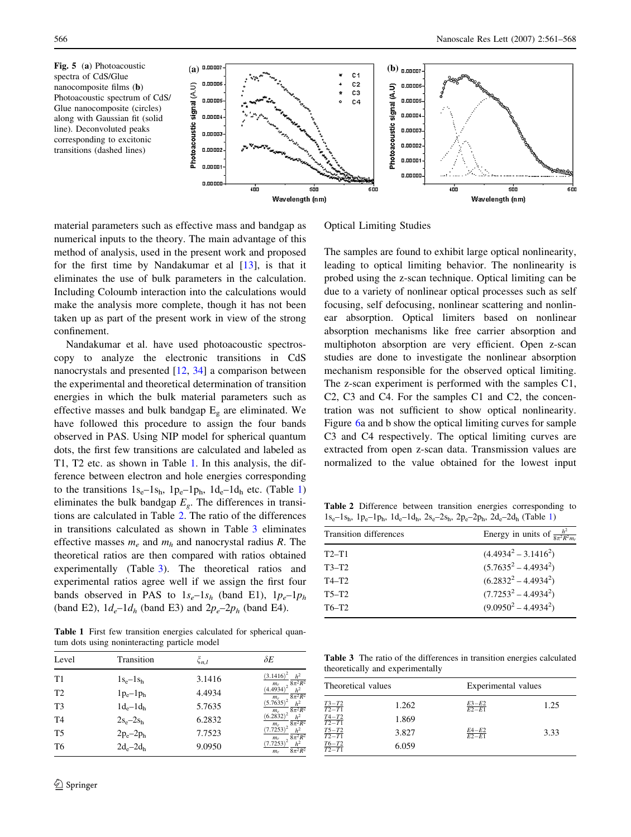<span id="page-5-0"></span>

material parameters such as effective mass and bandgap as numerical inputs to the theory. The main advantage of this method of analysis, used in the present work and proposed for the first time by Nandakumar et al [[13\]](#page-7-0), is that it eliminates the use of bulk parameters in the calculation. Including Coloumb interaction into the calculations would make the analysis more complete, though it has not been taken up as part of the present work in view of the strong confinement.

Nandakumar et al. have used photoacoustic spectroscopy to analyze the electronic transitions in CdS nanocrystals and presented [\[12](#page-7-0), [34](#page-7-0)] a comparison between the experimental and theoretical determination of transition energies in which the bulk material parameters such as effective masses and bulk bandgap  $E_g$  are eliminated. We have followed this procedure to assign the four bands observed in PAS. Using NIP model for spherical quantum dots, the first few transitions are calculated and labeled as T1, T2 etc. as shown in Table 1. In this analysis, the difference between electron and hole energies corresponding to the transitions  $1s_e-1s_h$ ,  $1p_e-1p_h$ ,  $1d_e-1d_h$  etc. (Table 1) eliminates the bulk bandgap  $E_g$ . The differences in transitions are calculated in Table 2. The ratio of the differences in transitions calculated as shown in Table 3 eliminates effective masses  $m_e$  and  $m_h$  and nanocrystal radius R. The theoretical ratios are then compared with ratios obtained experimentally (Table 3). The theoretical ratios and experimental ratios agree well if we assign the first four bands observed in PAS to  $1s_e-1s_h$  (band E1),  $1p_e-1p_h$ (band E2),  $1d_e-1d_h$  (band E3) and  $2p_e-2p_h$  (band E4).

Table 1 First few transition energies calculated for spherical quantum dots using noninteracting particle model

| Level          | Transition    | $\xi_{n,l}$ | $\delta E$                                                   |
|----------------|---------------|-------------|--------------------------------------------------------------|
| T1             | $1s_e-1s_h$   | 3.1416      | $(3.1416)^2$<br>$8\pi^2R^2$                                  |
| T <sub>2</sub> | $1p_e-1p_h$   | 4.4934      | $\frac{m_r}{(4.4934)^2}$<br>$\frac{h^2}{8\pi^2R^2}$<br>$m_r$ |
| T <sub>3</sub> | $1d_e-1d_h$   | 5.7635      | $(5.7635)^2$<br>$\frac{h^2}{8\pi^2R^2}$<br>$m_r$             |
| T <sub>4</sub> | $2s_e - 2s_h$ | 6.2832      | $(6.2832)^2$<br>h <sup>2</sup><br>$8\pi^2R^2$<br>$m_r$       |
| T <sub>5</sub> | $2p_e - 2p_h$ | 7.7523      | $(7.7253)^2$<br>h <sup>2</sup><br>$8\pi^2R^2$<br>$m_r$       |
| T6             | $2d_e - 2d_h$ | 9.0950      | $(7.7253)^2$<br>h <sup>2</sup><br>$8\pi^2R^2$<br>$m_r$       |

Optical Limiting Studies

The samples are found to exhibit large optical nonlinearity, leading to optical limiting behavior. The nonlinearity is probed using the z-scan technique. Optical limiting can be due to a variety of nonlinear optical processes such as self focusing, self defocusing, nonlinear scattering and nonlinear absorption. Optical limiters based on nonlinear absorption mechanisms like free carrier absorption and multiphoton absorption are very efficient. Open z-scan studies are done to investigate the nonlinear absorption mechanism responsible for the observed optical limiting. The z-scan experiment is performed with the samples C1, C2, C3 and C4. For the samples C1 and C2, the concentration was not sufficient to show optical nonlinearity. Figure [6a](#page-6-0) and b show the optical limiting curves for sample C3 and C4 respectively. The optical limiting curves are extracted from open z-scan data. Transmission values are normalized to the value obtained for the lowest input

Table 2 Difference between transition energies corresponding to  $1s_e-1s_h$ , 1 $p_e-1p_h$ , 1 $d_e-1d_h$ , 2 $s_e-2s_h$ , 2 $p_e-2p_h$ , 2 $d_e-2d_h$  (Table 1)

| Transition differences | Energy in units of $\frac{h^2}{8\pi^2 R^2 m}$ |
|------------------------|-----------------------------------------------|
| $T2-T1$                | $(4.49342 - 3.14162)$                         |
| $T3-T2$                | $(5.7635^2 - 4.4934^2)$                       |
| $T4-T2$                | $(6.28322 - 4.49342)$                         |
| $T5-T2$                | $(7.7253^2 - 4.4934^2)$                       |
| T6-T <sub>2</sub>      | $(9.0950^2 - 4.4934^2)$                       |
|                        |                                               |

Table 3 The ratio of the differences in transition energies calculated theoretically and experimentally

| Theoretical values        |       | Experimental values   |      |
|---------------------------|-------|-----------------------|------|
| $\frac{T3 - T2}{T2 - T1}$ | 1.262 | $\frac{E3-E2}{E2-E1}$ | 1.25 |
| $\frac{T4-T2}{T2-T1}$     | 1.869 |                       |      |
| $\frac{T5 - T2}{T2 - T1}$ | 3.827 | $E4 - E2$<br>$E2-E1$  | 3.33 |
| $\frac{T6 - T2}{T2 - T1}$ | 6.059 |                       |      |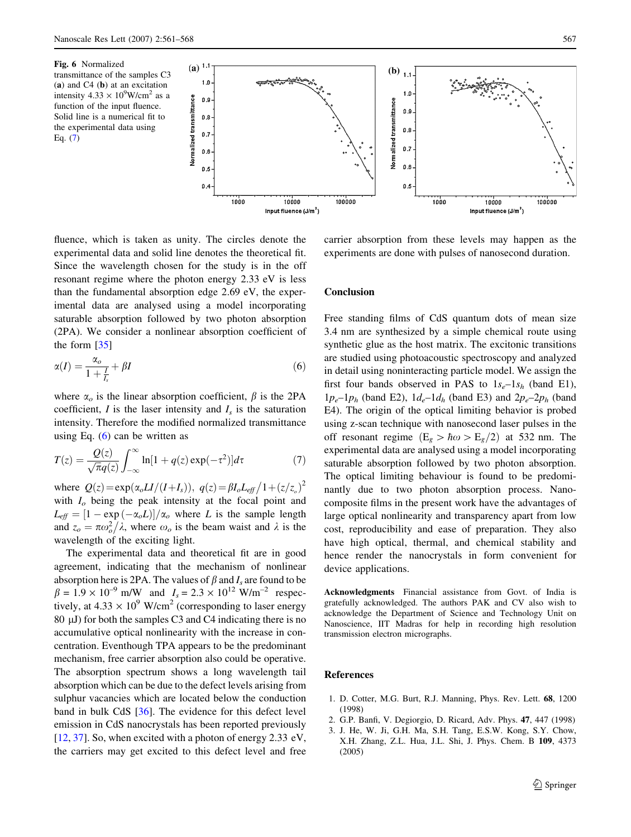<span id="page-6-0"></span>



fluence, which is taken as unity. The circles denote the experimental data and solid line denotes the theoretical fit. Since the wavelength chosen for the study is in the off resonant regime where the photon energy 2.33 eV is less than the fundamental absorption edge 2.69 eV, the experimental data are analysed using a model incorporating saturable absorption followed by two photon absorption (2PA). We consider a nonlinear absorption coefficient of the form [[35\]](#page-7-0)

$$
\alpha(I) = \frac{\alpha_o}{1 + \frac{I}{I_s}} + \beta I \tag{6}
$$

where  $\alpha_o$  is the linear absorption coefficient,  $\beta$  is the 2PA coefficient,  $I$  is the laser intensity and  $I_s$  is the saturation intensity. Therefore the modified normalized transmittance using Eq.  $(6)$  can be written as

$$
T(z) = \frac{Q(z)}{\sqrt{\pi}q(z)} \int_{-\infty}^{\infty} \ln[1 + q(z) \exp(-\tau^2)] d\tau \tag{7}
$$

where  $Q(z) = \exp(\alpha_o L I/(I + I_s)), q(z) = \beta I_o L_{eff} / 1 + (z/z_o)^2$ with  $I<sub>o</sub>$  being the peak intensity at the focal point and  $L_{\text{eff}} = [1 - \exp(-\alpha_o L)]/\alpha_o$  where L is the sample length  $\frac{\partial E_{\ell j}}{\partial \alpha}$  and  $z_o = \pi \omega_o^2 / \lambda$ , where  $\omega_o$  is the beam waist and  $\lambda$  is the wavelength of the exciting light.

The experimental data and theoretical fit are in good agreement, indicating that the mechanism of nonlinear absorption here is 2PA. The values of  $\beta$  and  $I_s$  are found to be  $\beta = 1.9 \times 10^{-9}$  m/W and  $I_s = 2.3 \times 10^{12}$  W/m<sup>-2</sup> respectively, at  $4.33 \times 10^9$  W/cm<sup>2</sup> (corresponding to laser energy 80  $\mu$ J) for both the samples C3 and C4 indicating there is no accumulative optical nonlinearity with the increase in concentration. Eventhough TPA appears to be the predominant mechanism, free carrier absorption also could be operative. The absorption spectrum shows a long wavelength tail absorption which can be due to the defect levels arising from sulphur vacancies which are located below the conduction band in bulk CdS [[36\]](#page-7-0). The evidence for this defect level emission in CdS nanocrystals has been reported previously [\[12](#page-7-0), [37](#page-7-0)]. So, when excited with a photon of energy 2.33 eV, the carriers may get excited to this defect level and free

carrier absorption from these levels may happen as the experiments are done with pulses of nanosecond duration.

#### **Conclusion**

Free standing films of CdS quantum dots of mean size 3.4 nm are synthesized by a simple chemical route using synthetic glue as the host matrix. The excitonic transitions are studied using photoacoustic spectroscopy and analyzed in detail using noninteracting particle model. We assign the first four bands observed in PAS to  $1s_e-1s_h$  (band E1),  $1p_e-1p_h$  (band E2),  $1d_e-1d_h$  (band E3) and  $2p_e-2p_h$  (band E4). The origin of the optical limiting behavior is probed using z-scan technique with nanosecond laser pulses in the off resonant regime  $(E_g > \hbar \omega > E_g/2)$  at 532 nm. The experimental data are analysed using a model incorporating saturable absorption followed by two photon absorption. The optical limiting behaviour is found to be predominantly due to two photon absorption process. Nanocomposite films in the present work have the advantages of large optical nonlinearity and transparency apart from low cost, reproducibility and ease of preparation. They also have high optical, thermal, and chemical stability and hence render the nanocrystals in form convenient for device applications.

Acknowledgments Financial assistance from Govt. of India is gratefully acknowledged. The authors PAK and CV also wish to acknowledge the Department of Science and Technology Unit on Nanoscience, IIT Madras for help in recording high resolution transmission electron micrographs.

#### References

- 1. D. Cotter, M.G. Burt, R.J. Manning, Phys. Rev. Lett. 68, 1200 (1998)
- 2. G.P. Banfi, V. Degiorgio, D. Ricard, Adv. Phys. 47, 447 (1998)
- 3. J. He, W. Ji, G.H. Ma, S.H. Tang, E.S.W. Kong, S.Y. Chow, X.H. Zhang, Z.L. Hua, J.L. Shi, J. Phys. Chem. B 109, 4373 (2005)